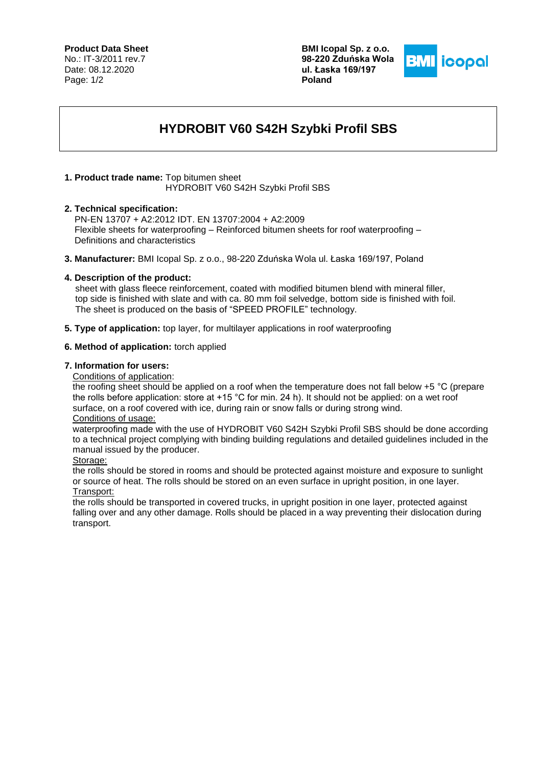## **Product Data Sheet**

No.: IT-3/2011 rev.7 Date: 08.12.2020 Page: 1/2

**BMI Icopal Sp. z o.o. 98-220 Zduńska Wola ul. Łaska 169/197 Poland**



# **HYDROBIT V60 S42H Szybki Profil SBS**

#### **1. Product trade name:** Top bitumen sheet HYDROBIT V60 S42H Szybki Profil SBS

### **2. Technical specification:**

 PN-EN 13707 + A2:2012 IDT. EN 13707:2004 + A2:2009 Flexible sheets for waterproofing – Reinforced bitumen sheets for roof waterproofing – Definitions and characteristics

**3. Manufacturer:** BMI Icopal Sp. z o.o., 98-220 Zduńska Wola ul. Łaska 169/197, Poland

### **4. Description of the product:**

sheet with glass fleece reinforcement, coated with modified bitumen blend with mineral filler, top side is finished with slate and with ca. 80 mm foil selvedge, bottom side is finished with foil. The sheet is produced on the basis of "SPEED PROFILE" technology.

**5. Type of application:** top layer, for multilayer applications in roof waterproofing

### **6. Method of application:** torch applied

#### **7. Information for users:**

Conditions of application:

the roofing sheet should be applied on a roof when the temperature does not fall below +5 °C (prepare the rolls before application: store at +15 °C for min. 24 h). It should not be applied: on a wet roof surface, on a roof covered with ice, during rain or snow falls or during strong wind. Conditions of usage:

waterproofing made with the use of HYDROBIT V60 S42H Szybki Profil SBS should be done according to a technical project complying with binding building regulations and detailed guidelines included in the manual issued by the producer.

Storage:

the rolls should be stored in rooms and should be protected against moisture and exposure to sunlight or source of heat. The rolls should be stored on an even surface in upright position, in one layer. Transport:

the rolls should be transported in covered trucks, in upright position in one layer, protected against falling over and any other damage. Rolls should be placed in a way preventing their dislocation during transport.